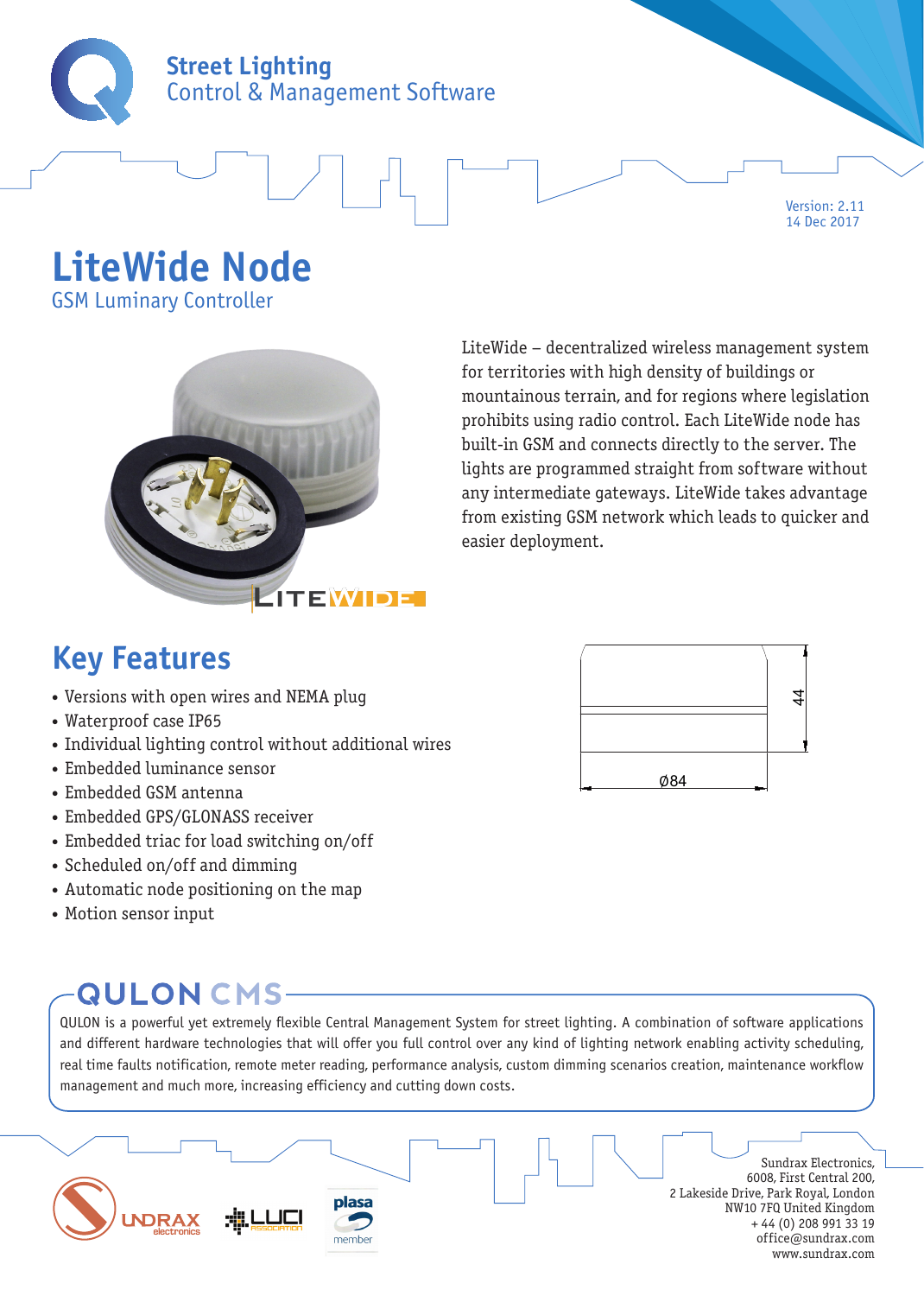

Version: 2.11 14 Dec 2017

## **LiteWide Node**

GSM Luminary Controller



LiteWide – decentralized wireless management system for territories with high density of buildings or mountainous terrain, and for regions where legislation prohibits using radio control. Each LiteWide node has built-in GSM and connects directly to the server. The lights are programmed straight from software without any intermediate gateways. LiteWide takes advantage from existing GSM network which leads to quicker and easier deployment.

### **Key Features**

- Versions with open wires and NEMA plug
- Waterproof case IP65
- Individual lighting control without additional wires
- Embedded luminance sensor
- Embedded GSM antenna
- Embedded GPS/GLONASS receiver
- Embedded triac for load switching on/off
- Scheduled on/off and dimming
- Automatic node positioning on the map
- Motion sensor input

### **QULON CMS-**

QULON is a powerful yet extremely flexible Central Management System for street lighting. A combination of software applications and different hardware technologies that will offer you full control over any kind of lighting network enabling activity scheduling, real time faults notification, remote meter reading, performance analysis, custom dimming scenarios creation, maintenance workflow management and much more, increasing efficiency and cutting down costs.



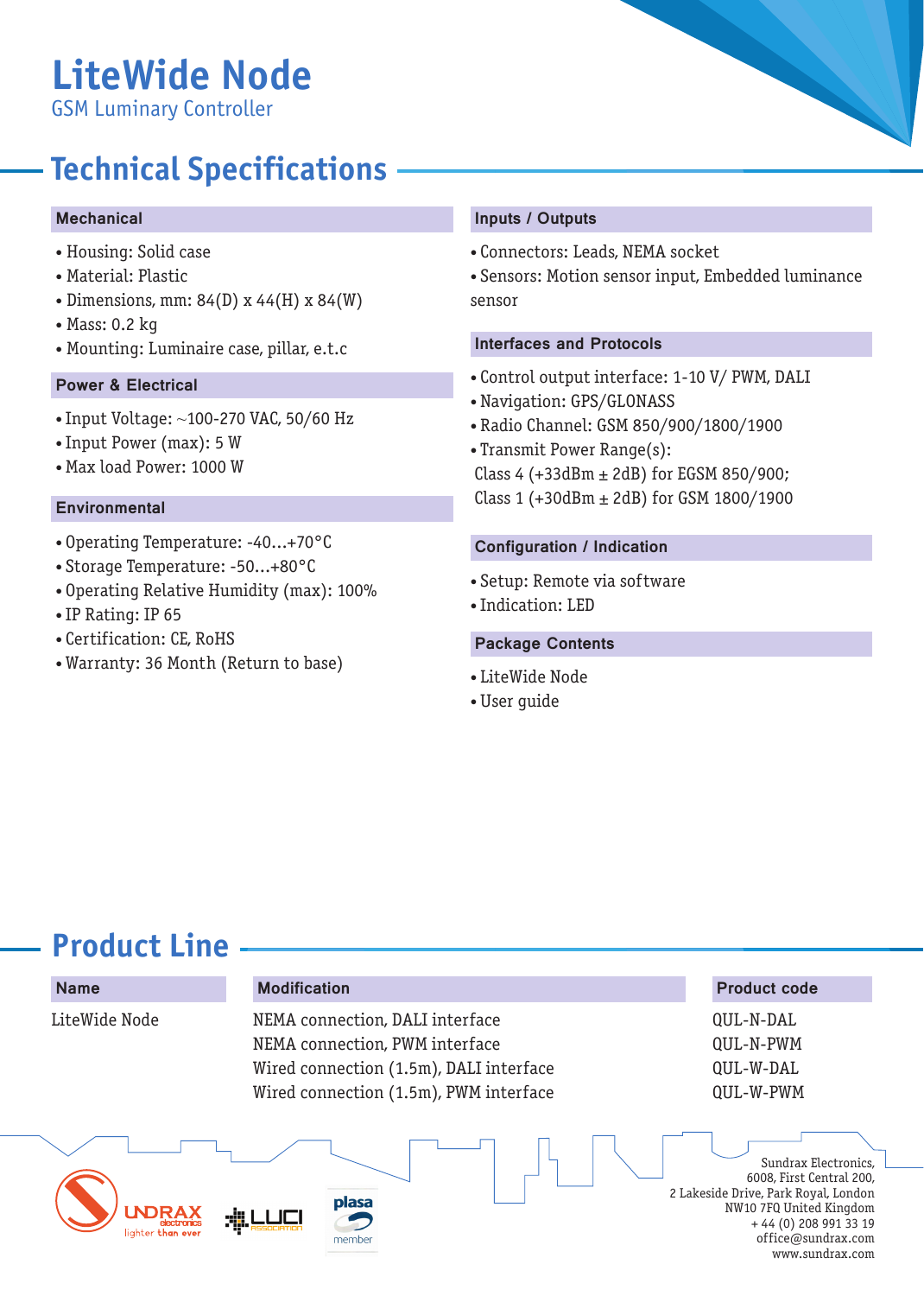# **LiteWide Node**

GSM Luminary Controller

### **Technical Specifications**

#### Mechanical

- Housing: Solid case
- Material: Plastic
- Dimensions, mm: 84(D) x 44(H) x 84(W)
- Mass: 0.2 kg
- Mounting: Luminaire case, pillar, e.t.c

#### Power & Electrical

- Input Voltage: ~100-270 VAC, 50/60 Hz
- Input Power (max): 5 W
- Max load Power: 1000 W

#### **Environmental**

- Operating Temperature: -40...+70°C
- Storage Temperature: -50...+80°C
- Operating Relative Humidity (max): 100%
- IP Rating: IP 65
- Certification: CE, RoHS
- Warranty: 36 Month (Return to base)

#### Inputs / Outputs

- Connectors: Leads, NEMA socket
- Sensors: Motion sensor input, Embedded luminance sensor

#### Interfaces and Protocols

- Control output interface: 1-10 V/ PWM, DALI
- Navigation: GPS/GLONASS
- Radio Channel: GSM 850/900/1800/1900
- Transmit Power Range(s):

Class 4 (+33dBm  $\pm$  2dB) for EGSM 850/900; Class 1 (+30dBm  $\pm$  2dB) for GSM 1800/1900

#### Configuration / Indication

- Setup: Remote via software
- Indication: LED

#### Package Contents

- LiteWide Node
- User guide